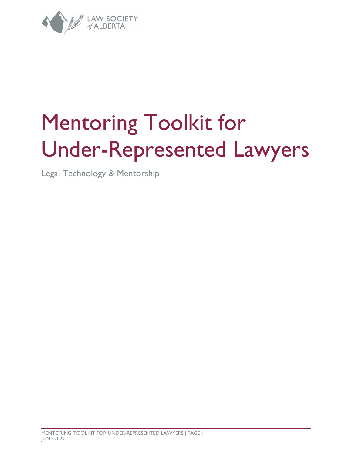

# Mentoring Toolkit for Under-Represented Lawyers

Legal Technology & Mentorship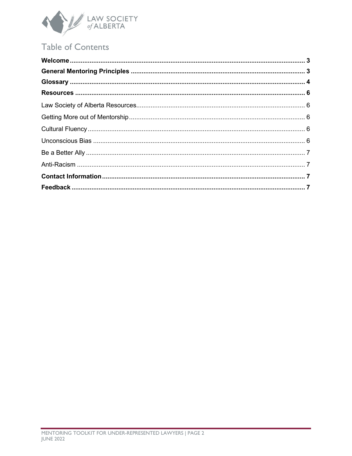

## **Table of Contents**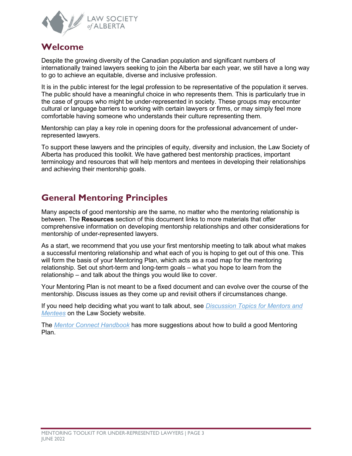

## <span id="page-2-0"></span>**Welcome**

Despite the growing diversity of the Canadian population and significant numbers of internationally trained lawyers seeking to join the Alberta bar each year, we still have a long way to go to achieve an equitable, diverse and inclusive profession.

It is in the public interest for the legal profession to be representative of the population it serves. The public should have a meaningful choice in who represents them. This is particularly true in the case of groups who might be under-represented in society. These groups may encounter cultural or language barriers to working with certain lawyers or firms, or may simply feel more comfortable having someone who understands their culture representing them.

Mentorship can play a key role in opening doors for the professional advancement of underrepresented lawyers.

To support these lawyers and the principles of equity, diversity and inclusion, the Law Society of Alberta has produced this toolkit. We have gathered best mentorship practices, important terminology and resources that will help mentors and mentees in developing their relationships and achieving their mentorship goals.

## <span id="page-2-1"></span>**General Mentoring Principles**

Many aspects of good mentorship are the same, no matter who the mentoring relationship is between. The **Resources** section of this document links to more materials that offer comprehensive information on developing mentorship relationships and other considerations for mentorship of under-represented lawyers.

As a start, we recommend that you use your first mentorship meeting to talk about what makes a successful mentoring relationship and what each of you is hoping to get out of this one. This will form the basis of your Mentoring Plan, which acts as a road map for the mentoring relationship. Set out short-term and long-term goals – what you hope to learn from the relationship – and talk about the things you would like to cover.

Your Mentoring Plan is not meant to be a fixed document and can evolve over the course of the mentorship. Discuss issues as they come up and revisit others if circumstances change.

If you need help deciding what you want to talk about, see *[Discussion Topics for Mentors and](https://documents.lawsociety.ab.ca/wp-content/uploads/2021/02/24233729/Mentor-Express-Discussion-Topics.pdf)  [Mentees](https://documents.lawsociety.ab.ca/wp-content/uploads/2021/02/24233729/Mentor-Express-Discussion-Topics.pdf)* on the Law Society website.

The *[Mentor Connect Handbook](https://documents.lawsociety.ab.ca/wp-content/uploads/2017/01/Mentor-Connect-Handbook.pdf)* has more suggestions about how to build a good Mentoring Plan.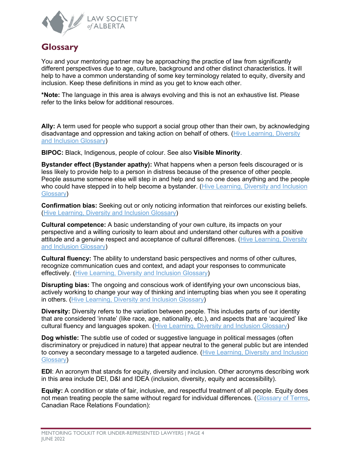

## <span id="page-3-0"></span>**Glossary**

You and your mentoring partner may be approaching the practice of law from significantly different perspectives due to age, culture, background and other distinct characteristics. It will help to have a common understanding of some key terminology related to equity, diversity and inclusion. Keep these definitions in mind as you get to know each other.

**\*Note:** The language in this area is always evolving and this is not an exhaustive list. Please refer to the links below for additional resources.

**Ally:** A term used for people who support a social group other than their own, by acknowledging disadvantage and oppression and taking action on behalf of others. [\(Hive Learning, Diversity](https://www.hivelearning.com/site/resource/diversity-inclusion/diversity-inclusion-glossary/)  [and Inclusion Glossary\)](https://www.hivelearning.com/site/resource/diversity-inclusion/diversity-inclusion-glossary/)

**BIPOC:** Black, Indigenous, people of colour. See also **Visible Minority**.

**Bystander effect (Bystander apathy):** What happens when a person feels discouraged or is less likely to provide help to a person in distress because of the presence of other people. People assume someone else will step in and help and so no one does anything and the people who could have stepped in to help become a bystander. (Hive Learning, Diversity and Inclusion [Glossary\)](https://www.hivelearning.com/site/resource/diversity-inclusion/diversity-inclusion-glossary/)

**Confirmation bias:** Seeking out or only noticing information that reinforces our existing beliefs. [\(Hive Learning, Diversity and Inclusion Glossary\)](https://www.hivelearning.com/site/resource/diversity-inclusion/diversity-inclusion-glossary/)

**Cultural competence:** A basic understanding of your own culture, its impacts on your perspective and a willing curiosity to learn about and understand other cultures with a positive attitude and a genuine respect and acceptance of cultural differences. [\(Hive Learning, Diversity](https://www.hivelearning.com/site/resource/diversity-inclusion/diversity-inclusion-glossary/)  [and Inclusion Glossary\)](https://www.hivelearning.com/site/resource/diversity-inclusion/diversity-inclusion-glossary/)

**Cultural fluency:** The ability to understand basic perspectives and norms of other cultures, recognize communication cues and context, and adapt your responses to communicate effectively. [\(Hive Learning, Diversity and Inclusion Glossary\)](https://www.hivelearning.com/site/resource/diversity-inclusion/diversity-inclusion-glossary/)

**Disrupting bias:** The ongoing and conscious work of identifying your own unconscious bias, actively working to change your way of thinking and interrupting bias when you see it operating in others. [\(Hive Learning, Diversity and Inclusion Glossary\)](https://www.hivelearning.com/site/resource/diversity-inclusion/diversity-inclusion-glossary/)

**Diversity:** Diversity refers to the variation between people. This includes parts of our identity that are considered 'innate' (like race, age, nationality, etc.), and aspects that are 'acquired' like cultural fluency and languages spoken. [\(Hive Learning, Diversity and Inclusion Glossary\)](https://www.hivelearning.com/site/resource/diversity-inclusion/diversity-inclusion-glossary/)

**Dog whistle:** The subtle use of coded or suggestive language in political messages (often discriminatory or prejudiced in nature) that appear neutral to the general public but are intended to convey a secondary message to a targeted audience. (Hive Learning, Diversity and Inclusion [Glossary\)](https://www.hivelearning.com/site/resource/diversity-inclusion/diversity-inclusion-glossary/)

**EDI**: An acronym that stands for equity, diversity and inclusion. Other acronyms describing work in this area include DEI, D&I and IDEA (inclusion, diversity, equity and accessibility).

**Equity:** A condition or state of fair, inclusive, and respectful treatment of all people. Equity does not mean treating people the same without regard for individual differences. [\(Glossary of Terms,](https://www.crrf-fcrr.ca/en/resources/glossary-a-terms-en-gb-1) Canadian Race Relations Foundation):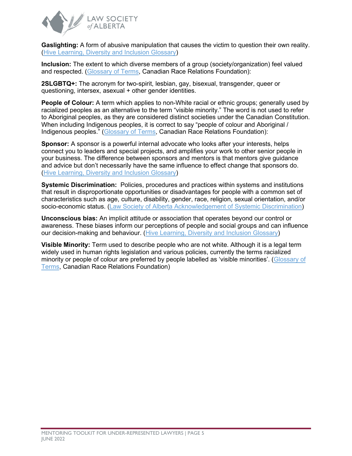

**Gaslighting:** A form of abusive manipulation that causes the victim to question their own reality. [\(Hive Learning, Diversity and Inclusion Glossary\)](https://www.hivelearning.com/site/resource/diversity-inclusion/diversity-inclusion-glossary/)

**Inclusion:** The extent to which diverse members of a group (society/organization) feel valued and respected. [\(Glossary of Terms,](https://www.crrf-fcrr.ca/en/resources/glossary-a-terms-en-gb-1) Canadian Race Relations Foundation):

**2SLGBTQ+:** The acronym for two-spirit, lesbian, gay, bisexual, transgender, queer or questioning, intersex, asexual + other gender identities.

**People of Colour:** A term which applies to non-White racial or ethnic groups; generally used by racialized peoples as an alternative to the term "visible minority." The word is not used to refer to Aboriginal peoples, as they are considered distinct societies under the Canadian Constitution. When including Indigenous peoples, it is correct to say "people of colour and Aboriginal / Indigenous peoples." [\(Glossary of Terms,](https://www.crrf-fcrr.ca/en/resources/glossary-a-terms-en-gb-1) Canadian Race Relations Foundation):

**Sponsor:** A sponsor is a powerful internal advocate who looks after your interests, helps connect you to leaders and special projects, and amplifies your work to other senior people in your business. The difference between sponsors and mentors is that mentors give guidance and advice but don't necessarily have the same influence to effect change that sponsors do. [\(Hive Learning, Diversity and Inclusion Glossary\)](https://www.hivelearning.com/site/resource/diversity-inclusion/diversity-inclusion-glossary/)

**Systemic Discrimination:** Policies, procedures and practices within systems and institutions that result in disproportionate opportunities or disadvantages for people with a common set of characteristics such as age, culture, disability, gender, race, religion, sexual orientation, and/or socio-economic status. [\(Law Society of Alberta Acknowledgement of Systemic Discrimination\)](https://www.lawsociety.ab.ca/about-us/key-initiatives/equity-diversity-and-inclusion-initiatives/acknowledgment-of-systemic-discrimination/)

**Unconscious bias:** An implicit attitude or association that operates beyond our control or awareness. These biases inform our perceptions of people and social groups and can influence our decision-making and behaviour. [\(Hive Learning, Diversity and Inclusion Glossary\)](https://www.hivelearning.com/site/resource/diversity-inclusion/diversity-inclusion-glossary/)

**Visible Minority:** Term used to describe people who are not white. Although it is a legal term widely used in human rights legislation and various policies, currently the terms racialized minority or people of colour are preferred by people labelled as 'visible minorities'. [\(Glossary of](https://www.crrf-fcrr.ca/en/resources/glossary-a-terms-en-gb-1)  [Terms,](https://www.crrf-fcrr.ca/en/resources/glossary-a-terms-en-gb-1) Canadian Race Relations Foundation)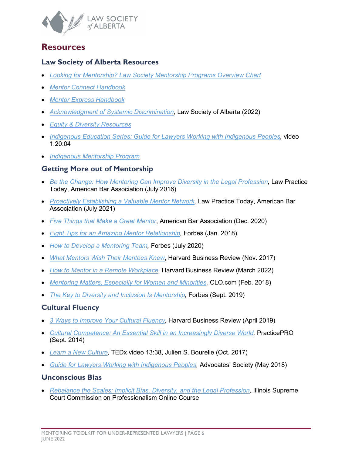

### <span id="page-5-0"></span>**Resources**

#### <span id="page-5-1"></span>**Law Society of Alberta Resources**

- *[Looking for Mentorship? Law Society Mentorship Programs Overview Chart](https://documents.lawsociety.ab.ca/wp-content/uploads/2022/03/10163319/Looking-For-Mentorship-March-2022.pdf)*
- *[Mentor Connect Handbook](https://documents.lawsociety.ab.ca/wp-content/uploads/2017/01/Mentor-Connect-Handbook.pdf)*
- *[Mentor Express Handbook](https://documents.lawsociety.ab.ca/wp-content/uploads/2018/11/Mentor-Express-Handbook.pdf)*
- *[Acknowledgment of Systemic Discrimination,](https://www.lawsociety.ab.ca/about-us/key-initiatives/equity-diversity-and-inclusion-initiatives/acknowledgment-of-systemic-discrimination/)* Law Society of Alberta (2022)
- *[Equity & Diversity Resources](https://www.lawsociety.ab.ca/resource-centre/key-resources/equity-and-diversity/)*
- *Indigenous Education Series: Guide for Lawyers Working with Indigenous Peoples*, video 1:20:04
- *[Indigenous Mentorship Program](https://www.lawsociety.ab.ca/about-us/key-initiatives/indigenous-initiatives/indigenous-law-mentorship-program/)*

#### <span id="page-5-2"></span>**Getting More out of Mentorship**

- *[Be the Change: How Mentoring Can Improve Diversity in the Legal Profession,](https://www.lawpracticetoday.org/article/mentoring-improve-diversity-legal-profession/)* Law Practice Today, American Bar Association (July 2016)
- *[Proactively Establishing a Valuable Mentor Network,](https://www.lawpracticetoday.org/article/proactively-establishing-a-valuable-mentor-network/)* Law Practice Today, American Bar Association (July 2021)
- *[Five Things that Make a Great Mentor](https://www.americanbar.org/groups/litigation/committees/minority-trial-lawyer/practice/2020/five-things-that-make-a-great-mentor/)*, American Bar Association (Dec. 2020)
- *[Eight Tips for an Amazing Mentor Relationship,](https://www.forbes.com/sites/laurencebradford/2018/01/31/8-tips-for-an-amazing-mentor-relationship/?sh=2444a95c21e2)* Forbes (Jan. 2018)
- *[How to Develop a Mentoring Team,](https://www.forbes.com/sites/ruthgotian/2020/07/06/how-to-cultivate-a-mentoring-team-in-five-easy-steps/?sh=2f6f95b5244a)* Forbes (July 2020)
- *[What Mentors Wish Their Mentees Knew](https://hbr.org/2017/11/what-mentors-wish-their-mentees-knew)*, Harvard Business Review (Nov. 2017)
- *[How to Mentor in a Remote Workplace,](https://hbr.org/2022/03/how-to-mentor-in-a-remote-workplace)* Harvard Business Review (March 2022)
- *[Mentoring Matters, Especially for Women and Minorities,](https://www.chieflearningofficer.com/2018/02/08/guide-improving-mentoring-opportunities-women-minorities/)* CLO.com (Feb. 2018)
- *[The Key to Diversity and Inclusion Is Mentorship,](https://www.forbes.com/sites/janicegassam/2019/09/26/the-key-to-diversity-and-inclusion-is-mentorship/?sh=79f8078f7fbd)* Forbes (Sept. 2019)

#### <span id="page-5-3"></span>**Cultural Fluency**

- *[3 Ways to Improve Your Cultural Fluency,](https://hbr.org/2019/04/3-ways-to-improve-your-cultural-fluency)* Harvard Business Review (April 2019)
- *[Cultural Competence: An Essential Skill in an Increasingly Diverse World,](https://www.practicepro.ca/2014/09/cultural-competence-an-essential-skill-in-an-increasingly-diverse-world/)* PracticePRO (Sept. 2014)
- *[Learn a New Culture,](https://youtu.be/GhA9eypocE0)* TEDx video 13:38, Julien S. Bourelle (Oct. 2017)
- *[Guide for Lawyers Working with Indigenous Peoples,](https://www.advocates.ca/Upload/Files/PDF/Advocacy/BestPracticesPublications/Guide_for_Lawyers_Working_with_Indigenous_Peoples_may16.pdf)* Advocates' Society (May 2018)

#### <span id="page-5-4"></span>**Unconscious Bias**

• *[Rebalance the Scales: Implicit Bias, Diversity, and the Legal Profession,](https://www.2civility.org/attorney-programs-cle/free-online-cle/rebalance-the-scales-implicit-bias-diversity-and-the-legal-profession/)* Illinois Supreme Court Commission on Professionalism Online Course